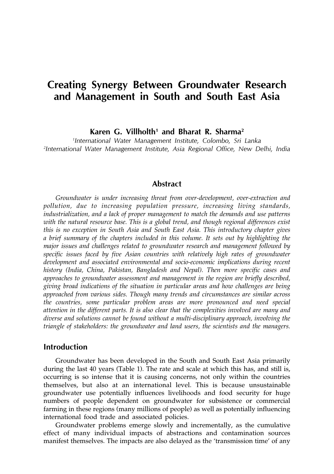# Creating Synergy Between Groundwater Research and Management in South and South East Asia

Karen G. Villholth<sup>1</sup> and Bharat R. Sharma<sup>2</sup>

1 International Water Management Institute, Colombo, Sri Lanka 2 International Water Management Institute, Asia Regional Office, New Delhi, India

# Abstract

Groundwater is under increasing threat from over-development, over-extraction and pollution, due to increasing population pressure, increasing living standards, industrialization, and a lack of proper management to match the demands and use patterns with the natural resource base. This is a global trend, and though regional differences exist this is no exception in South Asia and South East Asia. This introductory chapter gives a brief summary of the chapters included in this volume. It sets out by highlighting the major issues and challenges related to groundwater research and management followed by specific issues faced by five Asian countries with relatively high rates of groundwater development and associated environmental and socio-economic implications during recent history (India, China, Pakistan, Bangladesh and Nepal). Then more specific cases and approaches to groundwater assessment and management in the region are briefly described, giving broad indications of the situation in particular areas and how challenges are being approached from various sides. Though many trends and circumstances are similar across the countries, some particular problem areas are more pronounced and need special attention in the different parts. It is also clear that the complexities involved are many and diverse and solutions cannot be found without a multi-disciplinary approach, involving the triangle of stakeholders: the groundwater and land users, the scientists and the managers.

# Introduction

Groundwater has been developed in the South and South East Asia primarily during the last 40 years (Table 1). The rate and scale at which this has, and still is, occurring is so intense that it is causing concerns, not only within the countries themselves, but also at an international level. This is because unsustainable groundwater use potentially influences livelihoods and food security for huge numbers of people dependent on groundwater for subsistence or commercial farming in these regions (many millions of people) as well as potentially influencing international food trade and associated policies.

Groundwater problems emerge slowly and incrementally, as the cumulative effect of many individual impacts of abstractions and contamination sources manifest themselves. The impacts are also delayed as the 'transmission time' of any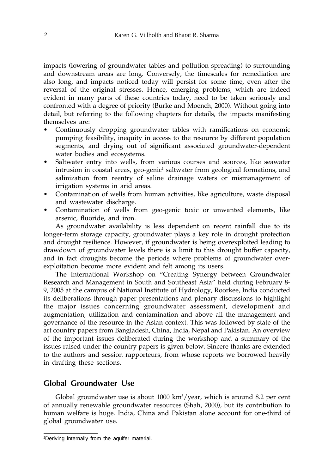impacts (lowering of groundwater tables and pollution spreading) to surrounding and downstream areas are long. Conversely, the timescales for remediation are also long, and impacts noticed today will persist for some time, even after the reversal of the original stresses. Hence, emerging problems, which are indeed evident in many parts of these countries today, need to be taken seriously and confronted with a degree of priority (Burke and Moench, 2000). Without going into detail, but referring to the following chapters for details, the impacts manifesting themselves are:

- Continuously dropping groundwater tables with ramifications on economic pumping feasibility, inequity in access to the resource by different population segments, and drying out of significant associated groundwater-dependent water bodies and ecosystems.
- Saltwater entry into wells, from various courses and sources, like seawater intrusion in coastal areas, geo-genic<sup>1</sup> saltwater from geological formations, and salinization from reentry of saline drainage waters or mismanagement of irrigation systems in arid areas.
- Contamination of wells from human activities, like agriculture, waste disposal and wastewater discharge.
- Contamination of wells from geo-genic toxic or unwanted elements, like arsenic, fluoride, and iron.

As groundwater availability is less dependent on recent rainfall due to its longer-term storage capacity, groundwater plays a key role in drought protection and drought resilience. However, if groundwater is being overexploited leading to drawdown of groundwater levels there is a limit to this drought buffer capacity, and in fact droughts become the periods where problems of groundwater overexploitation become more evident and felt among its users.

The International Workshop on "Creating Synergy between Groundwater Research and Management in South and Southeast Asia" held during February 8- 9, 2005 at the campus of National Institute of Hydrology, Roorkee, India conducted its deliberations through paper presentations and plenary discussions to highlight the major issues concerning groundwater assessment, development and augmentation, utilization and contamination and above all the management and governance of the resource in the Asian context. This was followed by state of the art country papers from Bangladesh, China, India, Nepal and Pakistan. An overview of the important issues deliberated during the workshop and a summary of the issues raised under the country papers is given below. Sincere thanks are extended to the authors and session rapporteurs, from whose reports we borrowed heavily in drafting these sections.

# Global Groundwater Use

Global groundwater use is about 1000 km<sup>3</sup>/year, which is around 8.2 per cent of annually renewable groundwater resources (Shah, 2000), but its contribution to human welfare is huge. India, China and Pakistan alone account for one-third of global groundwater use.

<sup>2</sup> Deriving internally from the aquifer material.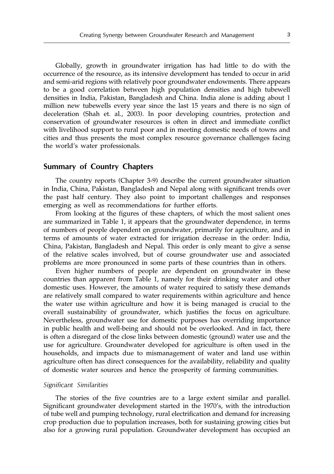Globally, growth in groundwater irrigation has had little to do with the occurrence of the resource, as its intensive development has tended to occur in arid and semi-arid regions with relatively poor groundwater endowments. There appears to be a good correlation between high population densities and high tubewell densities in India, Pakistan, Bangladesh and China. India alone is adding about 1 million new tubewells every year since the last 15 years and there is no sign of deceleration (Shah et. al., 2003). In poor developing countries, protection and conservation of groundwater resources is often in direct and immediate conflict with livelihood support to rural poor and in meeting domestic needs of towns and cities and thus presents the most complex resource governance challenges facing the world's water professionals.

# Summary of Country Chapters

The country reports (Chapter 3-9) describe the current groundwater situation in India, China, Pakistan, Bangladesh and Nepal along with significant trends over the past half century. They also point to important challenges and responses emerging as well as recommendations for further efforts.

From looking at the figures of these chapters, of which the most salient ones are summarized in Table 1, it appears that the groundwater dependence, in terms of numbers of people dependent on groundwater, primarily for agriculture, and in terms of amounts of water extracted for irrigation decrease in the order: India, China, Pakistan, Bangladesh and Nepal. This order is only meant to give a sense of the relative scales involved, but of course groundwater use and associated problems are more pronounced in some parts of these countries than in others.

Even higher numbers of people are dependent on groundwater in these countries than apparent from Table 1, namely for their drinking water and other domestic uses. However, the amounts of water required to satisfy these demands are relatively small compared to water requirements within agriculture and hence the water use within agriculture and how it is being managed is crucial to the overall sustainability of groundwater, which justifies the focus on agriculture. Nevertheless, groundwater use for domestic purposes has overriding importance in public health and well-being and should not be overlooked. And in fact, there is often a disregard of the close links between domestic (ground) water use and the use for agriculture. Groundwater developed for agriculture is often used in the households, and impacts due to mismanagement of water and land use within agriculture often has direct consequences for the availability, reliability and quality of domestic water sources and hence the prosperity of farming communities.

#### Significant Similarities

The stories of the five countries are to a large extent similar and parallel. Significant groundwater development started in the 1970's, with the introduction of tube well and pumping technology, rural electrification and demand for increasing crop production due to population increases, both for sustaining growing cities but also for a growing rural population. Groundwater development has occupied an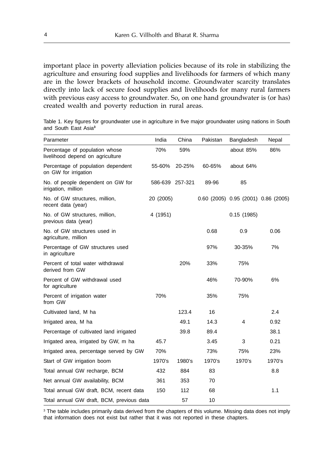important place in poverty alleviation policies because of its role in stabilizing the agriculture and ensuring food supplies and livelihoods for farmers of which many are in the lower brackets of household income. Groundwater scarcity translates directly into lack of secure food supplies and livelihoods for many rural farmers with previous easy access to groundwater. So, on one hand groundwater is (or has) created wealth and poverty reduction in rural areas.

Table 1. Key figures for groundwater use in agriculture in five major groundwater using nations in South and South East Asia**<sup>3</sup>**

| Parameter                                                          | India           | China  | Pakistan | Bangladesh                          | Nepal  |
|--------------------------------------------------------------------|-----------------|--------|----------|-------------------------------------|--------|
| Percentage of population whose<br>livelihood depend on agriculture | 70%             | 59%    |          | about 85%                           | 86%    |
| Percentage of population dependent<br>on GW for irrigation         | 55-60%          | 20-25% | 60-65%   | about 64%                           |        |
| No. of people dependent on GW for<br>irrigation, million           | 586-639 257-321 |        | 89-96    | 85                                  |        |
| No. of GW structures, million,<br>recent data (year)               | 20 (2005)       |        |          | 0.60 (2005) 0.95 (2001) 0.86 (2005) |        |
| No. of GW structures, million,<br>previous data (year)             | 4 (1951)        |        |          | 0.15(1985)                          |        |
| No. of GW structures used in<br>agriculture, million               |                 |        | 0.68     | 0.9                                 | 0.06   |
| Percentage of GW structures used<br>in agriculture                 |                 |        | 97%      | 30-35%                              | 7%     |
| Percent of total water withdrawal<br>derived from GW               |                 | 20%    | 33%      | 75%                                 |        |
| Percent of GW withdrawal used<br>for agriculture                   |                 |        | 46%      | 70-90%                              | 6%     |
| Percent of irrigation water<br>from GW                             | 70%             |        | 35%      | 75%                                 |        |
| Cultivated land, M ha                                              |                 | 123.4  | 16       |                                     | 2.4    |
| Irrigated area, M ha                                               |                 | 49.1   | 14.3     | $\overline{4}$                      | 0.92   |
| Percentage of cultivated land irrigated                            |                 | 39.8   | 89.4     |                                     | 38.1   |
| Irrigated area, irrigated by GW, m ha                              | 45.7            |        | 3.45     | 3                                   | 0.21   |
| Irrigated area, percentage served by GW                            | 70%             |        | 73%      | 75%                                 | 23%    |
| Start of GW irrigation boom                                        | 1970's          | 1980's | 1970's   | 1970's                              | 1970's |
| Total annual GW recharge, BCM                                      | 432             | 884    | 83       |                                     | 8.8    |
| Net annual GW availability, BCM                                    | 361             | 353    | 70       |                                     |        |
| Total annual GW draft, BCM, recent data                            | 150             | 112    | 68       |                                     | 1.1    |
| Total annual GW draft, BCM, previous data                          |                 | 57     | 10       |                                     |        |

<sup>3</sup> The table includes primarily data derived from the chapters of this volume. Missing data does not imply that information does not exist but rather that it was not reported in these chapters.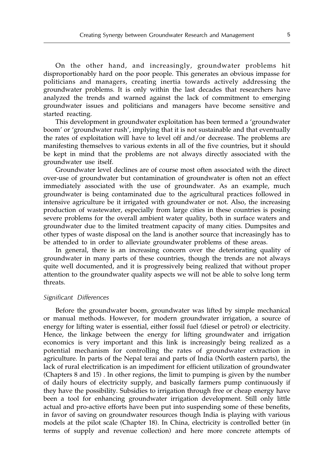On the other hand, and increasingly, groundwater problems hit disproportionably hard on the poor people. This generates an obvious impasse for politicians and managers, creating inertia towards actively addressing the groundwater problems. It is only within the last decades that researchers have analyzed the trends and warned against the lack of commitment to emerging groundwater issues and politicians and managers have become sensitive and started reacting.

This development in groundwater exploitation has been termed a 'groundwater boom' or 'groundwater rush', implying that it is not sustainable and that eventually the rates of exploitation will have to level off and/or decrease. The problems are manifesting themselves to various extents in all of the five countries, but it should be kept in mind that the problems are not always directly associated with the groundwater use itself.

Groundwater level declines are of course most often associated with the direct over-use of groundwater but contamination of groundwater is often not an effect immediately associated with the use of groundwater. As an example, much groundwater is being contaminated due to the agricultural practices followed in intensive agriculture be it irrigated with groundwater or not. Also, the increasing production of wastewater, especially from large cities in these countries is posing severe problems for the overall ambient water quality, both in surface waters and groundwater due to the limited treatment capacity of many cities. Dumpsites and other types of waste disposal on the land is another source that increasingly has to be attended to in order to alleviate groundwater problems of these areas.

In general, there is an increasing concern over the deteriorating quality of groundwater in many parts of these countries, though the trends are not always quite well documented, and it is progressively being realized that without proper attention to the groundwater quality aspects we will not be able to solve long term threats.

#### Significant Differences

Before the groundwater boom, groundwater was lifted by simple mechanical or manual methods. However, for modern groundwater irrigation, a source of energy for lifting water is essential, either fossil fuel (diesel or petrol) or electricity. Hence, the linkage between the energy for lifting groundwater and irrigation economics is very important and this link is increasingly being realized as a potential mechanism for controlling the rates of groundwater extraction in agriculture. In parts of the Nepal terai and parts of India (North eastern parts), the lack of rural electrification is an impediment for efficient utilization of groundwater (Chapters 8 and 15) . In other regions, the limit to pumping is given by the number of daily hours of electricity supply, and basically farmers pump continuously if they have the possibility. Subsidies to irrigation through free or cheap energy have been a tool for enhancing groundwater irrigation development. Still only little actual and pro-active efforts have been put into suspending some of these benefits, in favor of saving on groundwater resources though India is playing with various models at the pilot scale (Chapter 18). In China, electricity is controlled better (in terms of supply and revenue collection) and here more concrete attempts of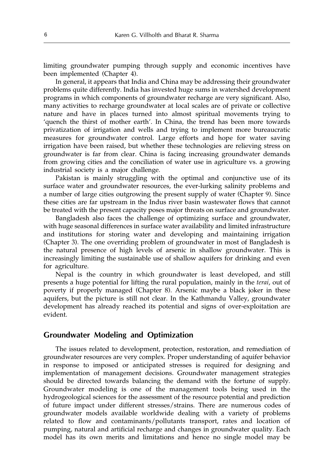limiting groundwater pumping through supply and economic incentives have been implemented (Chapter 4).

In general, it appears that India and China may be addressing their groundwater problems quite differently. India has invested huge sums in watershed development programs in which components of groundwater recharge are very significant. Also, many activities to recharge groundwater at local scales are of private or collective nature and have in places turned into almost spiritual movements trying to 'quench the thirst of mother earth'. In China, the trend has been more towards privatization of irrigation and wells and trying to implement more bureaucratic measures for groundwater control. Large efforts and hope for water saving irrigation have been raised, but whether these technologies are relieving stress on groundwater is far from clear. China is facing increasing groundwater demands from growing cities and the conciliation of water use in agriculture vs. a growing industrial society is a major challenge.

Pakistan is mainly struggling with the optimal and conjunctive use of its surface water and groundwater resources, the ever-lurking salinity problems and a number of large cities outgrowing the present supply of water (Chapter 9). Since these cities are far upstream in the Indus river basin wastewater flows that cannot be treated with the present capacity poses major threats on surface and groundwater.

Bangladesh also faces the challenge of optimizing surface and groundwater, with huge seasonal differences in surface water availability and limited infrastructure and institutions for storing water and developing and maintaining irrigation (Chapter 3). The one overriding problem of groundwater in most of Bangladesh is the natural presence of high levels of arsenic in shallow groundwater. This is increasingly limiting the sustainable use of shallow aquifers for drinking and even for agriculture.

Nepal is the country in which groundwater is least developed, and still presents a huge potential for lifting the rural population, mainly in the terai, out of poverty if properly managed (Chapter 8). Arsenic maybe a black joker in these aquifers, but the picture is still not clear. In the Kathmandu Valley, groundwater development has already reached its potential and signs of over-exploitation are evident.

# Groundwater Modeling and Optimization

The issues related to development, protection, restoration, and remediation of groundwater resources are very complex. Proper understanding of aquifer behavior in response to imposed or anticipated stresses is required for designing and implementation of management decisions. Groundwater management strategies should be directed towards balancing the demand with the fortune of supply. Groundwater modeling is one of the management tools being used in the hydrogeological sciences for the assessment of the resource potential and prediction of future impact under different stresses/strains. There are numerous codes of groundwater models available worldwide dealing with a variety of problems related to flow and contaminants/pollutants transport, rates and location of pumping, natural and artificial recharge and changes in groundwater quality. Each model has its own merits and limitations and hence no single model may be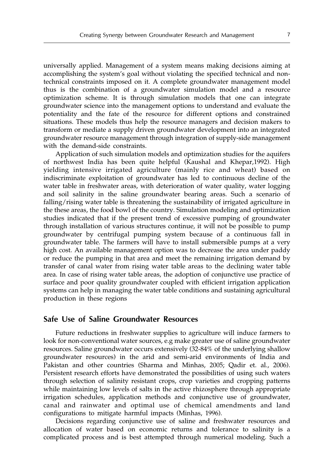universally applied. Management of a system means making decisions aiming at accomplishing the system's goal without violating the specified technical and nontechnical constraints imposed on it. A complete groundwater management model thus is the combination of a groundwater simulation model and a resource optimization scheme. It is through simulation models that one can integrate groundwater science into the management options to understand and evaluate the potentiality and the fate of the resource for different options and constrained situations. These models thus help the resource managers and decision makers to transform or mediate a supply driven groundwater development into an integrated groundwater resource management through integration of supply-side management with the demand-side constraints.

Application of such simulation models and optimization studies for the aquifers of northwest India has been quite helpful (Kaushal and Khepar,1992). High yielding intensive irrigated agriculture (mainly rice and wheat) based on indiscriminate exploitation of groundwater has led to continuous decline of the water table in freshwater areas, with deterioration of water quality, water logging and soil salinity in the saline groundwater bearing areas. Such a scenario of falling/rising water table is threatening the sustainability of irrigated agriculture in the these areas, the food bowl of the country. Simulation modeling and optimization studies indicated that if the present trend of excessive pumping of groundwater through installation of various structures continue, it will not be possible to pump groundwater by centrifugal pumping system because of a continuous fall in groundwater table. The farmers will have to install submersible pumps at a very high cost. An available management option was to decrease the area under paddy or reduce the pumping in that area and meet the remaining irrigation demand by transfer of canal water from rising water table areas to the declining water table area. In case of rising water table areas, the adoption of conjunctive use practice of surface and poor quality groundwater coupled with efficient irrigation application systems can help in managing the water table conditions and sustaining agricultural production in these regions

# Safe Use of Saline Groundwater Resources

Future reductions in freshwater supplies to agriculture will induce farmers to look for non-conventional water sources, e.g make greater use of saline groundwater resources. Saline groundwater occurs extensively (32-84% of the underlying shallow groundwater resources) in the arid and semi-arid environments of India and Pakistan and other countries (Sharma and Minhas, 2005; Qadir et. al., 2006). Persistent research efforts have demonstrated the possibilities of using such waters through selection of salinity resistant crops, crop varieties and cropping patterns while maintaining low levels of salts in the active rhizosphere through appropriate irrigation schedules, application methods and conjunctive use of groundwater, canal and rainwater and optimal use of chemical amendments and land configurations to mitigate harmful impacts (Minhas, 1996).

Decisions regarding conjunctive use of saline and freshwater resources and allocation of water based on economic returns and tolerance to salinity is a complicated process and is best attempted through numerical modeling. Such a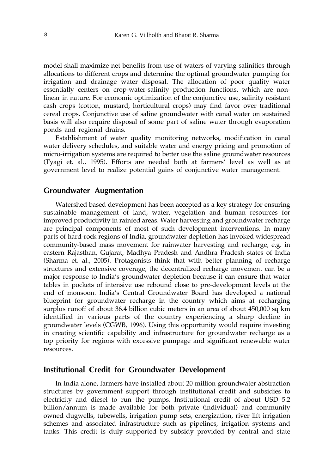model shall maximize net benefits from use of waters of varying salinities through allocations to different crops and determine the optimal groundwater pumping for irrigation and drainage water disposal. The allocation of poor quality water essentially centers on crop-water-salinity production functions, which are nonlinear in nature. For economic optimization of the conjunctive use, salinity resistant cash crops (cotton, mustard, horticultural crops) may find favor over traditional cereal crops. Conjunctive use of saline groundwater with canal water on sustained basis will also require disposal of some part of saline water through evaporation ponds and regional drains.

Establishment of water quality monitoring networks, modification in canal water delivery schedules, and suitable water and energy pricing and promotion of micro-irrigation systems are required to better use the saline groundwater resources (Tyagi et. al., 1995). Efforts are needed both at farmers' level as well as at government level to realize potential gains of conjunctive water management.

# Groundwater Augmentation

Watershed based development has been accepted as a key strategy for ensuring sustainable management of land, water, vegetation and human resources for improved productivity in rainfed areas. Water harvesting and groundwater recharge are principal components of most of such development interventions. In many parts of hard-rock regions of India, groundwater depletion has invoked widespread community-based mass movement for rainwater harvesting and recharge, e.g. in eastern Rajasthan, Gujarat, Madhya Pradesh and Andhra Pradesh states of India (Sharma et. al., 2005). Protagonists think that with better planning of recharge structures and extensive coverage, the decentralized recharge movement can be a major response to India's groundwater depletion because it can ensure that water tables in pockets of intensive use rebound close to pre-development levels at the end of monsoon. India's Central Groundwater Board has developed a national blueprint for groundwater recharge in the country which aims at recharging surplus runoff of about 36.4 billion cubic meters in an area of about 450,000 sq km identified in various parts of the country experiencing a sharp decline in groundwater levels (CGWB, 1996). Using this opportunity would require investing in creating scientific capability and infrastructure for groundwater recharge as a top priority for regions with excessive pumpage and significant renewable water resources.

# Institutional Credit for Groundwater Development

In India alone, farmers have installed about 20 million groundwater abstraction structures by government support through institutional credit and subsidies to electricity and diesel to run the pumps. Institutional credit of about USD 5.2 billion/annum is made available for both private (individual) and community owned dugwells, tubewells, irrigation pump sets, energization, river lift irrigation schemes and associated infrastructure such as pipelines, irrigation systems and tanks. This credit is duly supported by subsidy provided by central and state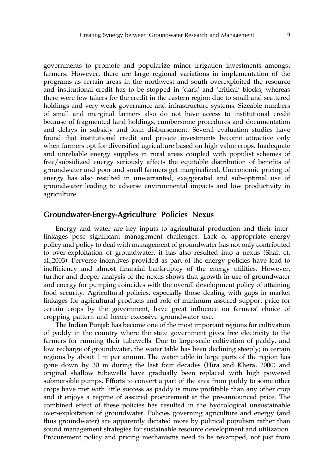governments to promote and popularize minor irrigation investments amongst farmers. However, there are large regional variations in implementation of the programs as certain areas in the northwest and south overexploited the resource and institutional credit has to be stopped in 'dark' and 'critical' blocks, whereas there were few takers for the credit in the eastern region due to small and scattered holdings and very weak governance and infrastructure systems. Sizeable numbers of small and marginal farmers also do not have access to institutional credit because of fragmented land holdings, cumbersome procedures and documentation and delays in subsidy and loan disbursement. Several evaluation studies have found that institutional credit and private investments become attractive only when farmers opt for diversified agriculture based on high value crops. Inadequate and unreliable energy supplies in rural areas coupled with populist schemes of free/subsidized energy seriously affects the equitable distribution of benefits of groundwater and poor and small farmers get marginalized. Uneconomic pricing of energy has also resulted in unwarranted, exaggerated and sub-optimal use of groundwater leading to adverse environmental impacts and low productivity in agriculture.

# Groundwater-Energy-Agriculture Policies Nexus

Energy and water are key inputs to agricultural production and their interlinkages pose significant management challenges. Lack of appropriate energy policy and policy to deal with management of groundwater has not only contributed to over-exploitation of groundwater, it has also resulted into a nexus (Shah et. al.,2003). Perverse incentives provided as part of the energy policies have lead to inefficiency and almost financial bankruptcy of the energy utilities. However, further and deeper analysis of the nexus shows that growth in use of groundwater and energy for pumping coincides with the overall development policy of attaining food security. Agricultural policies, especially those dealing with gaps in market linkages for agricultural products and role of minimum assured support price for certain crops by the government, have great influence on farmers' choice of cropping pattern and hence excessive groundwater use.

The Indian Punjab has become one of the most important regions for cultivation of paddy in the country where the state government gives free electricity to the farmers for running their tubewells. Due to large-scale cultivation of paddy, and low recharge of groundwater, the water table has been declining steeply; in certain regions by about 1 m per annum. The water table in large parts of the region has gone down by 30 m during the last four decades (Hira and Khera, 2000) and original shallow tubewells have gradually been replaced with high powered submersible pumps. Efforts to convert a part of the area from paddy to some other crops have met with little success as paddy is more profitable than any other crop and it enjoys a regime of assured procurement at the pre-announced price. The combined effect of these policies has resulted in the hydrological unsustainable over-exploitation of groundwater. Policies governing agriculture and energy (and thus groundwater) are apparently dictated more by political populism rather than sound management strategies for sustainable resource development and utilization. Procurement policy and pricing mechanisms need to be revamped, not just from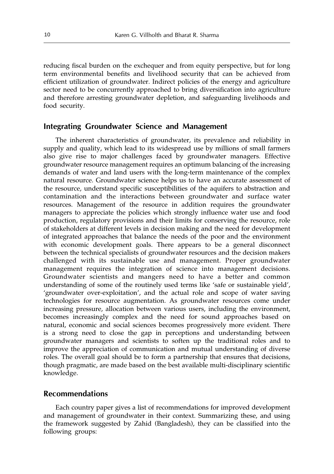reducing fiscal burden on the exchequer and from equity perspective, but for long term environmental benefits and livelihood security that can be achieved from efficient utilization of groundwater. Indirect policies of the energy and agriculture sector need to be concurrently approached to bring diversification into agriculture and therefore arresting groundwater depletion, and safeguarding livelihoods and food security.

# Integrating Groundwater Science and Management

The inherent characteristics of groundwater, its prevalence and reliability in supply and quality, which lead to its widespread use by millions of small farmers also give rise to major challenges faced by groundwater managers. Effective groundwater resource management requires an optimum balancing of the increasing demands of water and land users with the long-term maintenance of the complex natural resource. Groundwater science helps us to have an accurate assessment of the resource, understand specific susceptibilities of the aquifers to abstraction and contamination and the interactions between groundwater and surface water resources. Management of the resource in addition requires the groundwater managers to appreciate the policies which strongly influence water use and food production, regulatory provisions and their limits for conserving the resource, role of stakeholders at different levels in decision making and the need for development of integrated approaches that balance the needs of the poor and the environment with economic development goals. There appears to be a general disconnect between the technical specialists of groundwater resources and the decision makers challenged with its sustainable use and management. Proper groundwater management requires the integration of science into management decisions. Groundwater scientists and mangers need to have a better and common understanding of some of the routinely used terms like 'safe or sustainable yield', 'groundwater over-exploitation', and the actual role and scope of water saving technologies for resource augmentation. As groundwater resources come under increasing pressure, allocation between various users, including the environment, becomes increasingly complex and the need for sound approaches based on natural, economic and social sciences becomes progressively more evident. There is a strong need to close the gap in perceptions and understanding between groundwater managers and scientists to soften up the traditional roles and to improve the appreciation of communication and mutual understanding of diverse roles. The overall goal should be to form a partnership that ensures that decisions, though pragmatic, are made based on the best available multi-disciplinary scientific knowledge.

# Recommendations

Each country paper gives a list of recommendations for improved development and management of groundwater in their context. Summarizing these, and using the framework suggested by Zahid (Bangladesh), they can be classified into the following groups: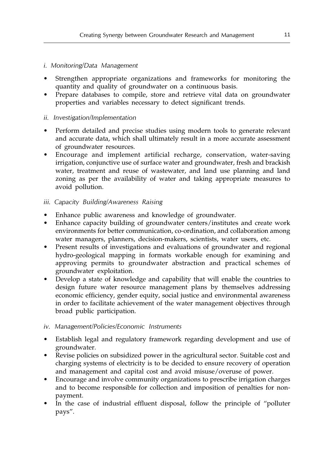# i. Monitoring/Data Management

- Strengthen appropriate organizations and frameworks for monitoring the quantity and quality of groundwater on a continuous basis.
- Prepare databases to compile, store and retrieve vital data on groundwater properties and variables necessary to detect significant trends.

# ii. Investigation/Implementation

- Perform detailed and precise studies using modern tools to generate relevant and accurate data, which shall ultimately result in a more accurate assessment of groundwater resources.
- Encourage and implement artificial recharge, conservation, water-saving irrigation, conjunctive use of surface water and groundwater, fresh and brackish water, treatment and reuse of wastewater, and land use planning and land zoning as per the availability of water and taking appropriate measures to avoid pollution.

# iii. Capacity Building/Awareness Raising

- Enhance public awareness and knowledge of groundwater.
- Enhance capacity building of groundwater centers/institutes and create work environments for better communication, co-ordination, and collaboration among water managers, planners, decision-makers, scientists, water users, etc.
- Present results of investigations and evaluations of groundwater and regional hydro-geological mapping in formats workable enough for examining and approving permits to groundwater abstraction and practical schemes of groundwater exploitation.
- Develop a state of knowledge and capability that will enable the countries to design future water resource management plans by themselves addressing economic efficiency, gender equity, social justice and environmental awareness in order to facilitate achievement of the water management objectives through broad public participation.

# iv. Management/Policies/Economic Instruments

- Establish legal and regulatory framework regarding development and use of groundwater.
- Revise policies on subsidized power in the agricultural sector. Suitable cost and charging systems of electricity is to be decided to ensure recovery of operation and management and capital cost and avoid misuse/overuse of power.
- Encourage and involve community organizations to prescribe irrigation charges and to become responsible for collection and imposition of penalties for nonpayment.
- In the case of industrial effluent disposal, follow the principle of "polluter" pays".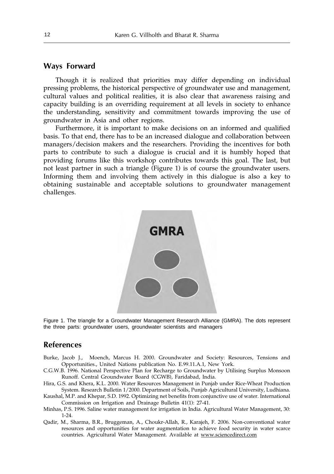# Ways Forward

Though it is realized that priorities may differ depending on individual pressing problems, the historical perspective of groundwater use and management, cultural values and political realities, it is also clear that awareness raising and capacity building is an overriding requirement at all levels in society to enhance the understanding, sensitivity and commitment towards improving the use of groundwater in Asia and other regions.

Furthermore, it is important to make decisions on an informed and qualified basis. To that end, there has to be an increased dialogue and collaboration between managers/decision makers and the researchers. Providing the incentives for both parts to contribute to such a dialogue is crucial and it is humbly hoped that providing forums like this workshop contributes towards this goal. The last, but not least partner in such a triangle (Figure 1) is of course the groundwater users. Informing them and involving them actively in this dialogue is also a key to obtaining sustainable and acceptable solutions to groundwater management challenges.



Figure 1. The triangle for a Groundwater Management Research Alliance (GMRA). The dots represent the three parts: groundwater users, groundwater scientists and managers

# References

- Burke, Jacob J., Moench, Marcus H. 2000. Groundwater and Society: Resources, Tensions and Opportunities., United Nations publication No. E.99.11.A.1, New York.
- C.G.W.B. 1996. National Perspective Plan for Recharge to Groundwater by Utilising Surplus Monsoon Runoff. Central Groundwater Board (CGWB), Faridabad, India.
- Hira, G.S. and Khera, K.L. 2000. Water Resources Management in Punjab under Rice-Wheat Production System. Research Bulletin 1/2000. Department of Soils, Punjab Agricultural University, Ludhiana.
- Kaushal, M.P. and Khepar, S.D. 1992. Optimizing net benefits from conjunctive use of water. International Commission on Irrigation and Drainage Bulletin 41(1): 27-41.
- Minhas, P.S. 1996. Saline water management for irrigation in India. Agricultural Water Management, 30: 1-24.
- Qadir, M., Sharma, B.R., Bruggeman, A., Choukr-Allah, R., Karajeh, F. 2006. Non-conventional water resources and opportunities for water augmentation to achieve food security in water scarce countries. Agricultural Water Management. Available at www.sciencedirect.com